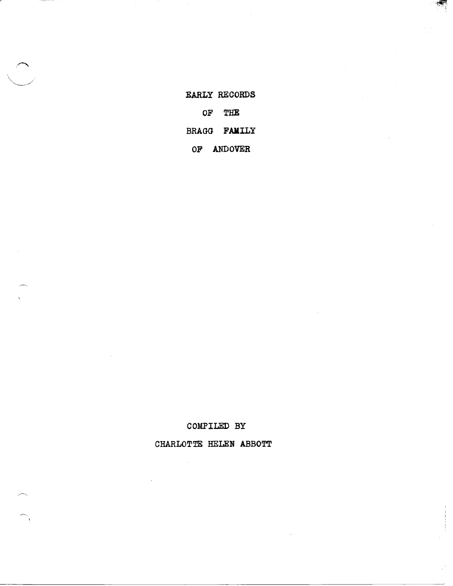EARLY RECORDS OF THE BRAGG FAMILY OF ANDOVER

 $\cdot$  ,  $\cdot$  ,  $\cdot$  ,  $\cdot$  ,  $\cdot$  ,  $\cdot$  ,  $\cdot$  ,  $\cdot$  ,  $\cdot$  ,  $\cdot$  ,  $\cdot$  ,  $\cdot$  ,  $\cdot$  ,  $\cdot$  ,  $\cdot$  ,  $\cdot$  ,  $\cdot$  ,  $\cdot$  ,  $\cdot$  ,  $\cdot$  ,  $\cdot$  ,  $\cdot$  ,  $\cdot$  ,  $\cdot$  ,  $\cdot$  ,  $\cdot$  ,  $\cdot$  ,  $\cdot$  ,  $\cdot$  ,  $\cdot$  ,  $\cdot$  ,  $\cdot$ 

COMPILED BY

CHARLOTTE HELEN ABBOTT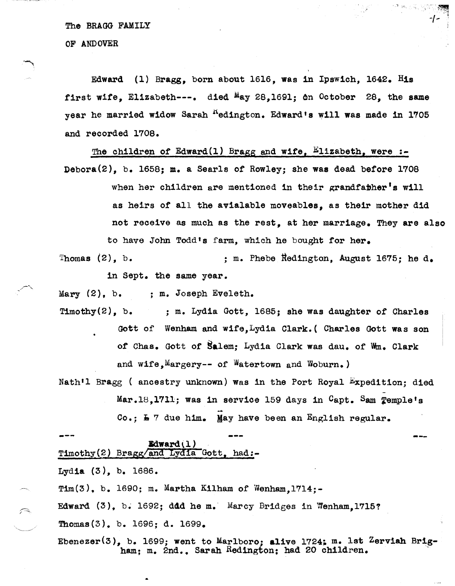The BRAGG FAMILY

OF ANDOVER

Edward (1) Bragg. born about 1616, was in Ipswich, 1642. His first wife, Elizabeth---. died  $M_{\text{ay}}$  28,1691; on October 28, the same year he married widow Sarah <sup>R</sup>edington. Edward's will was made in 1705 and recorded 1708.

 $\sim$   $\sim$   $\sim$   $\sim$   $\sim$   $\sim$   $\sim$ 

-/- "

The children of Edward(1) Bragg and wife,  $E1$ izabeth, were :-Debora(2), b. 1658; m. a Searls of Rowley; she was dead before 1708 when her children are mentioned in their grandfather's will as heirs of all the avialable moveables, as their mother did not receive as much as the rest, at her marriage. They are also to have John Todd's farm, which he bought tor her.

Thomas  $(2)$ , b.  $\qquad \qquad ;$  m. Phebe Redington, August 1675; he d.

in Sept. the same year.

Mary (2), b. : m. Joseph Eveleth.

Timothy  $(2)$ , b. ; m. Lydia Gott, 1685; she was daughter of Charles Gott of Wenham and wIfe,Lydia Clark. ( Charles Gott was son of Chas. Gott of Salem; Lydia Clark was dau. of wm. Clark and wife, Margery-- of Watertown and Woburn.)

Nath'l Bragg ( ancestry unknown) Was in the Port Royal Expedition; died -

Mar.18,1711; was in service 159 days in Capt. Sam Temple's

 $Co.$ ;  $\frac{1}{2}$  7 due him. May have been an English regular.

**--- ---** Bdward(l}  $Timothy(2)$  Bragg/and Lydia Gott, had:-

Lydia (3), b. 1686.

 $\left( \bigcap_{i=1}^n A_i \right)$ 

Tim $(3)$ , b. 1690; m. Martha Kilham of Wenham.1714;-

Edward  $(3)$ , b. 1692; ddd he m. Marcy Bridges in Wenham, 1715?

Thomas(3). b. 1696; d. 1699.

Ebenezer(3), b. 1699; went to Marlboro; alive 1724; m. lst Zerviah Brig-<br>ham; m. 2nd., Sarah Redington; had 20 children.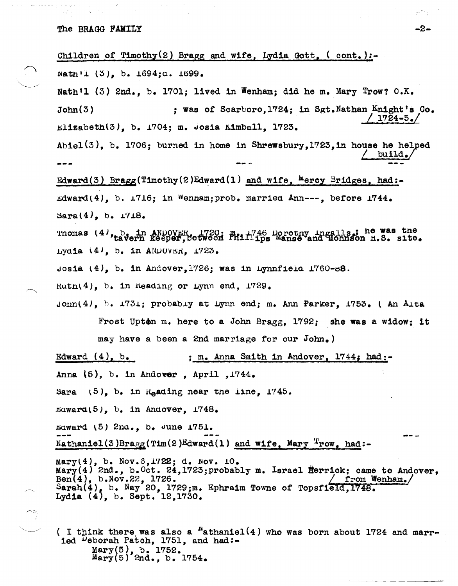The BRAGG FAMILY

Children of Timothy(2) Bragg and wife, Lydia Gott,  $($  cont.): $natin'1$  (3), b.  $1694:a. 1699.$ Nath'l  $(3)$  2nd., b. 1701; lived in Wenham; did he m. Mary Trow?  $0.K.$ John(3) ; was of Scarboro, 1724; in Sgt.Nathan Knight's Co. I *1724-5,./*  $Ellzabeth(3)$ , b.  $1704$ ; m. Josia Kimball. 1723. Abiel(3), b. 1706; burned in home in Shrewsbury, 1723, in house he helped build., Edward(3) Bragg(Timothy(2)Edward(1) and wife,  $^{10}$ ercy Bridges, had:- $\texttt{Edward(4)}$ , b.  $\texttt{\texttt{1716}}$ ; in Wennam; prob. married Ann---, before  $\texttt{1744.}$  $Sara(4)$ , b.  $1718$ . Thomas  $\{4\}$ , b. in ANDOVER, 1720:  $m_{11}/46$  Dorothy Ingalls; he was the tavern keeper, Setween Phillips Manse and Hohnson H.S. site. Lydia  $(41, b.$  in ANDOVER, 1723. Josia  $(4)$ , b. in Andover, 1726; was in Lynnfield 1760-88.  $Ruth(4)$ , b. in  $Keading$  or Lynn end,  $1729$ . Jonn $(4)$ , b.  $1731$ ; probabiy at Lynn end; m. Ann Parker, 1753. (An Aita Frost Upton m. here to a John Bragg.  $1792$ ; she was a widow; it may have a been a 2nd marriage for our John.) Edward  $(4)$ , b.  $\qquad \qquad ;$  m. Anna Smith in Andover, 1744; had:-Anna  $(5)$ , b. in Andower, April , 1744. Sara  $(5)$ , b. in Reading near the line, 1745.  $Eawara(5)$ , b. in Andover,  $1748$ .  $r_{\text{d}}$  award  $(5)$  2nu., b. June  $1751$ .  $Nathan1e1(3)Bragg(Tim(2)Edward(1) and wife, Mary Two. had: \texttt{Mary}(4)$ , b. Nov. 6,1722; d. Nov. 10.  $\texttt{Mary}(4)$  2nd., b. Oct. 24, 1723; probably m. Israel  $\texttt{Herri}$ ck; came to Andover,  $\text{Ben}(4)$ , b.Nov.22, 1726. I from Wenham. Sarah(4), b. Nay 20, 1729;m. Ephraim Towne of Topsfield,1748. Lydia *(4)*, b. Sept. 12,1730.  $\bigcirc$  (I think there was also a  $\frac{N_{\text{at}}}{2}$  who was born about 1724 and married Deborah Patch, 1751, and had:-Mary(5), b. 1752.  $\frac{\text{Mary}}{\text{Mary}(5)}$  2nd., b. 1754.

-2-

أوالهم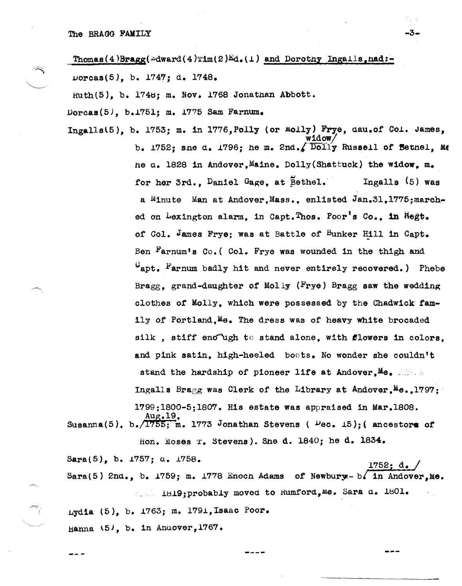$\frac{\text{Thomas}(4)\text{Bragg}(\text{dward}(4)\text{lim}(2)\text{Ed}_{\bullet}(1))$  and Dorothy Ingalls, nad:uorcas(5J, b. 1747; d. 1748.

S., 3

 $Ruth(5)$ , b. 1748; m. Nov. 1768 Jonathan Abbott.

 $D$ orcas $(5)$ , b.1751; m. 1775 Sam Farnum.

Ingalls $(5)$ , b. 1753; m. in 1776, Polly (or  $M$ olly) Frye, dau.of *Col.* James, widow/ Susanna(5),  $b \cdot \sqrt{1755}$ ; m. 1773 Jonathan Stevens ( $\mu$ ec. 15); (ancestors of b. 1752; sne d. 1796; he m. 2nd./ $\sqrt{$  Dolly Russell of Bethel, Me he a. 1828 in Andover.Maine. Dolly(Shattuck) the widow. m. for her 3rd., Daniel Gage. at Bethel. Ingalls (5) was a Minute Man at Andover,Mass., enlisted Jan.3l,1775:marched on Lexington alarm, in Capt.Thos. Poor's Co., in Regt. of Col. James Frye; was at Battle of Bunker Rill in Capt. Ben  $Farnum's Co.$  (Col. Frye was wounded in the thigh and  $U_{\text{apt.}}$  Farnum badly hit and never entirely recovered.) Phebe Bragg, grand-daughter of Molly (Frye) Bragg saw the wedding clothes of Molly. which were possessed by the Chadwick tamily of Portland, Me. The dress was of heavy white brocaded silk, stiff enough to stand alone, with flowers in colors. and pink satin, high-heeled boots. No wonder she couldn't stand the hardship of pioneer life at Andover.Me. Ingalls Bragg was Clerk of the Library at Andover.Me. 1797: 1799;1800-5;1807. His estate was appraised in Mar.1808.<br>Aug.19.

fion. Moses 'J:. Stevens). She d. 1840; he d. 1834.

Sara(5), b. *1757*; *u. 1758*. **1752**: **1752**: Sara(5) 2nd., b.  $1759$ ; m.  $1778$  Enoch Adams of Newbury - b. in Andover,Me. 1819; probably moved to Rumford, Me. Sara d. 1801.

Lydia (5), b. 1763; m. 1791, Isaac Poor.

Hanna  $\{51, b. in Anover, 1767.$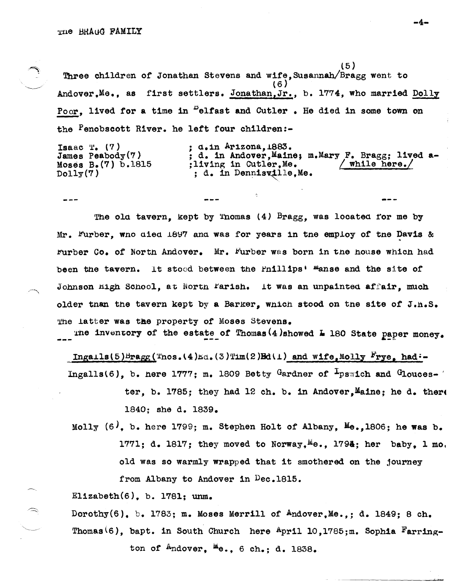$\mathcal{L}$ 

(5 ) Three Children of Jonathan Stevens and wife,Susannah/Bragg went to (6 ) Andover.Me., as first settlers. Jonathan, Jr., b. 1774, who married Dolly Poor. lived for a time in <sup>D</sup>elfast and Cutler. He died in some town on the Penobscott River. he left four children:-

Isaac  $T_{\bullet}$  (7) James peabody(?) Moses B.(?) b.1815  $D$ oll $\gamma(7)$  $: a \cdot in$  Arizona,  $1883.$ ; d. in Andover, Maine; m. Mary F. Bragg; lived a-<br>:living in Cutler. Me.  $/$  while here. ; living in Cutler. Me. ; d. in Dennisville, Me.

The old tavern, kept by Thomas  $(4)$  Bragg, was located for me by Mr. Furber, wno aied  $1897$  and was for years in tne employ of tne Davis & rurber Co. of North Andover. Mr. Furber was born in the house which had been the tavern. It stood between the Pnillips<sup>t m</sup>anse and the site of Johnson High School, at North Farish. It was an unpainted affair, much older tnan the tavern kept by a Barker, which stood on the site of J.H.S. The latter was the property of Moses Stevens.

The inventory of the estate of Thomas(4)showed  $\overline{4}$  180 State paper money.

Ingails(5)Bragg( $\text{Tros.}(4)_{\text{Ed.}}(3)\text{Trm}(2)$ Bd(1) and wife,Molly Frye, had:-Ingalls(6), b. here  $1777$ ; m. 1809 Betty Gardner of  $\frac{1}{2}$ pswich and Glouces- '

> ter, b. 1785; they had 12 ch. b. in Andover. Maine; he d. there 1840; she d. 1839.

Molly  $(6)$ , b. here 1799; m. Stephen Holt of Albany, Me., 1806; he was b. 1771; d. 1817; they moved to Norway,  $M\theta_0$ , 1794; her baby. 1 mo. old was so warmly wrapped that it smothered on the journey from Albany to Andover in Dec.1815.

Elizabeth $(6)$ , b. 1781; unm.

Dorothy $(6)$ . b. 1783; m. Moses Merrill of Andover.Me..; d. 1849; 8 ch. Thomas<sup>(6)</sup>, bapt. in South Church here  $A_{pr11}$  10,1785;m. Sophia Farrington of  $A_{ndover.}$   $\mathbb{E}_{e}$ ., 6 ch.; d. 1838.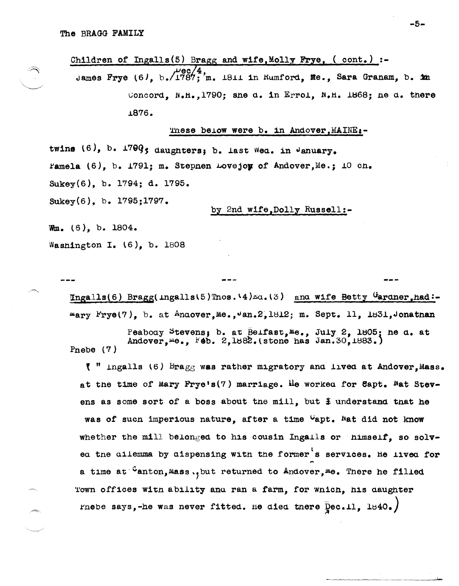

## These below were b. in Andover, MAINE:-

twins (6), b. 1799; daughters; b. last Wed. in January. ramela (6), b. 1791; m. Stepnen Lovejoy of Andover, Me.; 10 ch. Sukey(6), b. 1794; d. 1795. Sukey(6), b. 1795;1797.

by 2nd wife, Dolly Russell:-

 $W_m$ . (6), b. 1804. Washington I. (6), b. 1808

> $\texttt{Ingalls}(6)$  Bragg( $\texttt{Ingalls}(5)$ Thos. \4) $\texttt{A.a.}(3)$  and wife Betty  $\texttt{Garaner, had}$ :mary Frye(7), b. at Andover, Me., Jan. 2, 1812; m. Sept. 11, 1831, Jonathan

Peabody Stevens; b. at Belfast, Me., July 2, 1805; he d. at Andover, Me., Feb. 2, 1882. (stone has Jan. 30, 1883.) Pnebe  $(7)$ 

 $\ell$  " ingalls (6) Bragg was rather migratory and lived at Andover. Mass. at the time of Mary Frye's(7) marriage. He worked for Eapt. Nat Stevens as some sort of a boss about the mill, but  $\frac{1}{2}$  understand that he was of such imperious nature, after a time "apt. Nat did not know whether the mill belonged to his cousin Ingalls or himself, so solved the dilemma by dispensing with the former's services. He lived for a time at Canton, Mass., but returned to Andover, Me. There he filled Town offices with ability and ran a farm, for which, his daughter rnebe says,-he was never fitted. He died there  $\bar{p}$ ec.11, 1840.)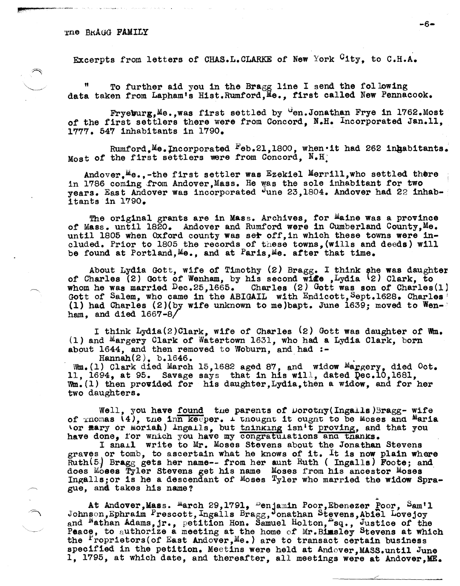Excerpts from letters of CHAS.L.CLARKE of New York City, to C.H.A.

To further aid you in the Bragg line I send the following data taken from Lapham's Hist.Rumford,Me., first called New Pennacook.

 $Fryeburg, Me., was first settled by  $u_{en}$ . Jonathan Frye in 1762. Most$ of the first settlers there were from Concord, N.H. Incorporated Jan.11. 1777. 547 inhabitants in 1790.

Rumford, Me. Incorporated Feb.21,1800, when it had 262 ingabitants. Most of the first settlers were from Concord, N.H.

Andover, Me.,-the first settler was Ezekiel Merrill, who settled there in 1786 coming from Andover, Mass. He was the sole inhabitant for two years. East Andover was incorporated June 23,1804. Andover had 22 inhab- . itants in 1790.

The original grants are in Mass. Archives, for Maine was a province *ot* Mass. until *1820.* Andover and Rumford were in Cumberland County,Me. until 1805 when Oxford county was ser off, in which these towns were included. Prior to 1805 the records of these towns,(wills and deeds) will be found at Portland,  $Me_{\bullet}$ , and at Paris,  $Me_{\bullet}$  after that time.

About Lydia Gott, wife of Timothy (2) Bragg. I think she was daughter of Charles (2) Gott of Wenham, by his second wide ,Lydia (2) Clark, to whom he was married  $Dec.25.1665.$  Charles (2) Gott was son of Charles(1) Gott of Salem, who came in the ABIGAIL with Endicott, Sept.1628. Charles (1) had Charles  $(2)($  by wife unknown to me) bapt. June 1639; moved to Wenham. and died  $1667 - 8/$ 

I think Lydia(2)Clark, wife *ot* Charles (2) Gott was daughter of wm. (1) and Margery Clark *ot* Watertown 1631, who had a Lydia Clark, born about  $1644$ , and then removed to Woburn, and had :-<br>Hannah $(2)$ , b.1646.

 $W_m$ .(1) Clark died March 15,1682 aged 87, and widow Margery, died Oct. 11, 1694, at 95. Savage says that in his will, dated  $Qec.10,1681$ ,  $Wm. (1)$  then provided for his daughter, Lydia, then a widow, and for her two daughters.

Well, you have found the parents of Dorotny(Ingalls)3ragg- wife of  $r$ nomas  $(4)$ , the inn keeper.  $\pm$  thought it ought to be Moses and Maria 'or mary or Moriah) lngails, but tninking isn't proving, and that you have done, for which you have my congratulations and thanks.

I snail write to Mr. Moses Stevens about the Jonathan Stevens graves or tomb, to ascertain what he knows of it. It is now plain where Ruth(5) Bragg gets her name-- from her aunt Ruth (Ingalls) Foote; and does Moses Tyler Stevens get his name Moses from his ancestor Moses Ingal1s;or is he a descendant of Moses Tyler who married the widow Sprague, and takes his name?<br>At Andover,Mass. <sup>M</sup>arch 29,1791, <sup>D</sup>enjamin Poor,Ebenezer Poor, Sam'l

Johnson, Ephraim Prescott, Ingalls Bragg, Jonathan Stevens, Abiel Lovejoy and <sup>N</sup>athan Adams, jr., petition Hon. Samuel Holton, sq., Justice of the and Nathan Adams, jr., petition Hon. Samuel Holton, sq., Justice of the Peace, to authorize a meeting at the home of Mr.Bimsley Stevens at which the  $P$ roprietors(of East Andover, Me.) are to transact certain business specified in the petition. Meetins were held at Andover, MASS.until June 1, 1795, at which date, and thereafter, all meetings were at Andover, ME.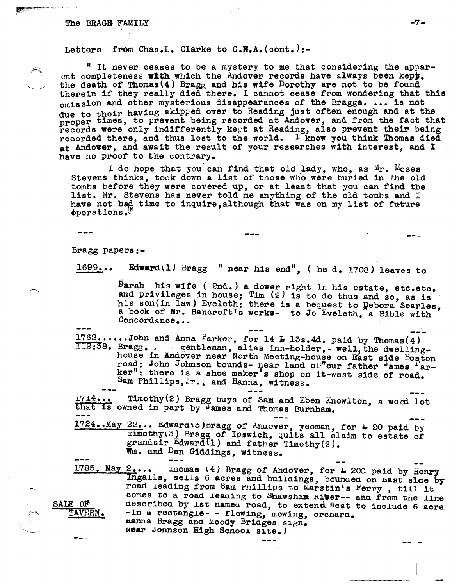## The BRAGE FAMILY  $-7-$

Letters from Chas.L. Clarke to  $C_s$ H.A. (cont.):-

" It never ceases to be a mystery to me that considering the apparent completeness with which the Andover records have always been kepy. the death of Thomas(4) Bragg and his wife Dorothy are not to be found therein if they really died there. I cannot cease from wondering that this omission and other mysterious disappearances of the Braggs. ... is not due to their having skipped over to Reading just often enough and at the proper times, to prevent being recorded at Andover, and from the fact that records were only indifferently kept at Reading, also prevent their being recorded there, and thus lost to the world. I know you think Thomas died at Andover, and await the result of your researches with interest, and <sup>I</sup> have no proof to the contrary.

I do hope that you can find that old lady, who, as  $Mr.$  Moses Stevens thinks, took down a list of those who were buried in the old tombs before they were covered up, or at least that you can find the list. Mr. Stevens has never told me anything of the old tombs and I have not had time to inquire, although that was on my list of future cbperations *.Vi* 

--- Bragg papers:-

 $1699...$  Edward(1) Bragg " near his end", ( he d. 1708) leaves to

 $\beta$ arah his wife ( 2nd.) a dower right in his estate, etc.etc. and privileges in house; Tim (2) is to do thus and so, as is his son(in law) Eveleth; there is a bequest to Debora Searles. a book of Mr. Bancroft's works- to Jo Eveleth, a Bible with Concordance...

 $1762...$ ....John and Anna Parker, for 14  $\text{L}$  13s.4d. paid by Thomas(4)  $112:38.$  Bragg,. . gentleman, alias inn-holder, - well, the dwellinghouse in Aadover near North Meeting-house on East side Boston road; John Johnson bounds- near land of"our father James Parker": there is a shoe maker's shop on it-west s1de of road. Sam Phillips, Jr., and Hanna, witness.

 $\frac{17.14...}{\text{that is owned in part by James and Thomas Burnham.}}$  a wood lot

 $1724 \cdot$ · May  $22 \cdot \cdot \cdot$  Edwara\b) bragg of Anuover, yeoman, for  $\bullet$  20 paid by ~imothy\6! Bragg of Ipswich, quits all claim to estate of grandsir Edward\l) and father Tlmothy(2). Wm. and Dan Giddings, witness.

SALE OF TAVERN. **J ...** 

 $1785$ , May  $2...$  Thomas (4) Bragg of Andover, for  $\text{\textsterling}$  200 paid by Henry Ingalls, sells 6 acres and buildings, bounded on mast slae by road leading from Sam Phillips to Marstin's Ferry, till it comes to a road leading to Shawshim Kiver-- and from the line describea by ist nameu road, to extend West to include 6 acre.  $-1n$  a rectangle- - flowing, mowing, orchard. manna Bragg and Moody Briages sign. Near Jonnson High Scnool site.)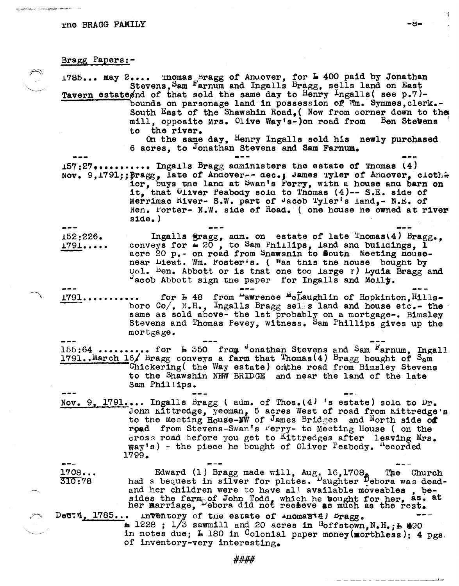## Bragg Papers:-

 $1785...$  May  $2...$  inomas  $5$ ragg of Andover, for  $\frac{1}{2}$  400 paid by Jonathan Stevens, Sam Farnum and Ingalls Bragg, sells land on East Tavern estate and of that sold the same day to Henry Ingalls (see p.7)bounds on parsonage land in possession of Wm. Symmes, clerk.-South East of the Shawshin Road, (Now from corner down to the mill, opposite Mrs. Olive Way's-)on road from Ben Stevens to the river. On the same day, Henry Ingalls sold his newly purchased 6 acres, to Jonathan Stevens and Sam Farnum.  $157:27......$  Ingalls Bragg administers the estate of Thomas  $(4)$ Nov. 9, 1791; ; Bragg, Late of Andover-- dec.; James Tyler of Andover, cloth+ ier, buys the land at Swan's Ferry, with a house and barn on it, that Oliver Peabody sold to Thomas (4)-- S.E. side of Merrimac Hiver- S.W. part of Jacob Tyler's land, - N.E. of Nen. Forter- N.W. side of Road. ( one house he owned at river  $\texttt{side.}$ ) Ingalls  $gragg$ , adm. on estate of late Thomas(4) Bragg., 152:226. conveys for  $\equiv 20$ , to Sam Phillips, land and buildings. I  $1791...$ acre 20 p.- on road from Snawsnin to South Meeting housenear Lieut. Wm. Foster's. ( Was this the house bought by Col. Ben. Abbott or is that one too large ?) Lydia Bragg and "acob Abbott sign the paper for Ingalls and Molly. ... for **h** 48 from "awrence "claughlin of Hopkinton, Hills-<br>boro Co/, N.H., Ingalls Bragg sells land and house etc.- the 1791.. same as sold above- the 1st probably on a mortgage-. Bimsley Stevens and Thomas Pevey, witness. Sam Phillips gives up the mortgage. 155:64 .......... for **h** 350 from vonathan Stevens and Sam Farnum, Ingall 1791...March 16/ Bragg conveys a farm that Thomas(4) Bragg bought of S<sub>a</sub>m Chickering( the Way estate) onthe road from Bimsley Stevens to the Shawshin NEW BRIDGE and near the land of the late Sam Phillips. Nov. 9, 1791.... Ingalls Bragg (adm. of Thos.  $(4)$  's estate) sola to Dr. John Kittredge, yeoman, 5 acres West of road from Kittredge's to the Meeting House-MW of James Bridges and North side of road from Stevens-Swan's Ferry- to Meeting House (on the cross road before you get to Kittredges after leaving Mrs.  $\gamma$ ay's) - the piece he bought of Oliver Peabody.  $\Gamma$ ecorded 1799. Edward (1) Bragg made will, Aug, 16,1708. The Church had a bequest in silver for plates. Daughter Debora was dead- $1708...$ 310.78 and her children were to have all available moveables, besides the farm of John Todd, which he bought for her, as, at her marriage, before did not receive as much as the rest.  $De$ c: 4,  $1785...$ inventory of the estate of inomasid) bragg.  $\texttt{A}$  1228 ; 1/3 sawmill and 20 acres in Goffstown, N.H.; L 490 in notes due; L 180 in Colonial paper money(morthless); 4 pgs.

·d·

####

of inventory-very interesting.